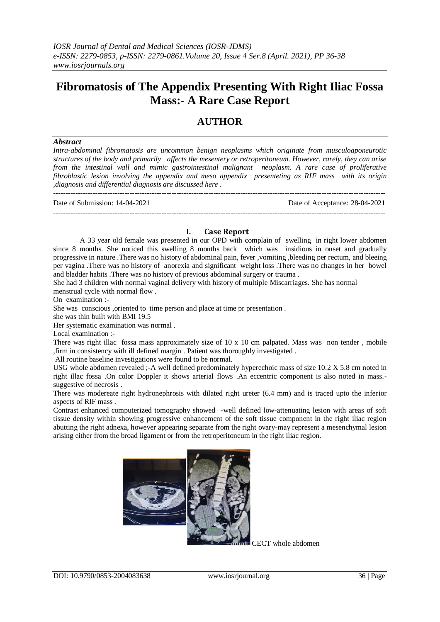# **Fibromatosis of The Appendix Presenting With Right Iliac Fossa Mass:- A Rare Case Report**

## **AUTHOR**

#### *Abstract*

*Intra-abdominal fibromatosis are uncommon benign neoplasms which originate from musculoaponeurotic structures of the body and primarily affects the mesentery or retroperitoneum. However, rarely, they can arise from the intestinal wall and mimic gastrointestinal malignant neoplasm. A rare case of proliferative fibroblastic lesion involving the appendix and meso appendix presenteting as RIF mass with its origin ,diagnosis and differential diagnosis are discussed here .* ---------------------------------------------------------------------------------------------------------------------------------------

Date of Submission: 14-04-2021 Date of Acceptance: 28-04-2021  $-1-\frac{1}{2}$ 

### **I. Case Report**

A 33 year old female was presented in our OPD with complain of swelling in right lower abdomen since 8 months. She noticed this swelling 8 months back which was insidious in onset and gradually progressive in nature .There was no history of abdominal pain, fever ,vomiting ,bleeding per rectum, and bleeing per vagina .There was no history of anorexia and significant weight loss .There was no changes in her bowel and bladder habits .There was no history of previous abdominal surgery or trauma .

She had 3 children with normal vaginal delivery with history of multiple Miscarriages. She has normal menstrual cycle with normal flow .

On examination :-

She was conscious ,oriented to time person and place at time pr presentation .

she was thin built with BMI 19.5

Her systematic examination was normal .

Local examination :-

There was right illac fossa mass approximately size of 10 x 10 cm palpated. Mass was non tender , mobile ,firm in consistency with ill defined margin . Patient was thoroughly investigated .

All routine baseline investigations were found to be normal.

USG whole abdomen revealed ;-A well defined predominately hyperechoic mass of size 10.2 X 5.8 cm noted in right illac fossa .On color Doppler it shows arterial flows .An eccentric component is also noted in mass. suggestive of necrosis .

There was modereate right hydronephrosis with dilated right ureter (6.4 mm) and is traced upto the inferior aspects of RIF mass .

Contrast enhanced computerized tomography showed -well defined low-attenuating lesion with areas of soft tissue density within showing progressive enhancement of the soft tissue component in the right iliac region abutting the right adnexa, however appearing separate from the right ovary-may represent a mesenchymal lesion arising either from the broad ligament or from the retroperitoneum in the right iliac region.



CECT whole abdomen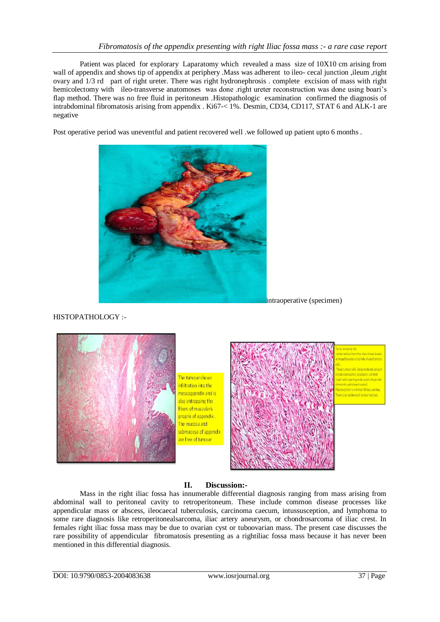Patient was placed for explorary Laparatomy which revealed a mass size of 10X10 cm arising from wall of appendix and shows tip of appendix at periphery .Mass was adherent to ileo- cecal junction ,ileum ,right ovary and 1/3 rd part of right ureter. There was right hydronephrosis . complete excision of mass with right hemicolectomy with ileo-transverse anatomoses was done .right ureter reconstruction was done using boari's flap method. There was no free fluid in peritoneum .Histopathologic examination confirmed the diagnosis of intrabdominal fibromatosis arising from appendix . Ki67-< 1%. Desmin, CD34, CD117, STAT 6 and ALK-1 are negative

Post operative period was uneventful and patient recovered well .we followed up patient upto 6 months .



intraoperative (specimen)

HISTOPATHOLOGY :-



## **II. Discussion:-**

Mass in the right iliac fossa has innumerable differential diagnosis ranging from mass arising from abdominal wall to peritoneal cavity to retroperitoneum. These include common disease processes like appendicular mass or abscess, ileocaecal tuberculosis, carcinoma caecum, intussusception, and lymphoma to some rare diagnosis like retroperitonealsarcoma, iliac artery aneurysm, or chondrosarcoma of iliac crest. In females right iliac fossa mass may be due to ovarian cyst or tuboovarian mass. The present case discusses the rare possibility of appendicular fibromatosis presenting as a rightiliac fossa mass because it has never been mentioned in this differential diagnosis.